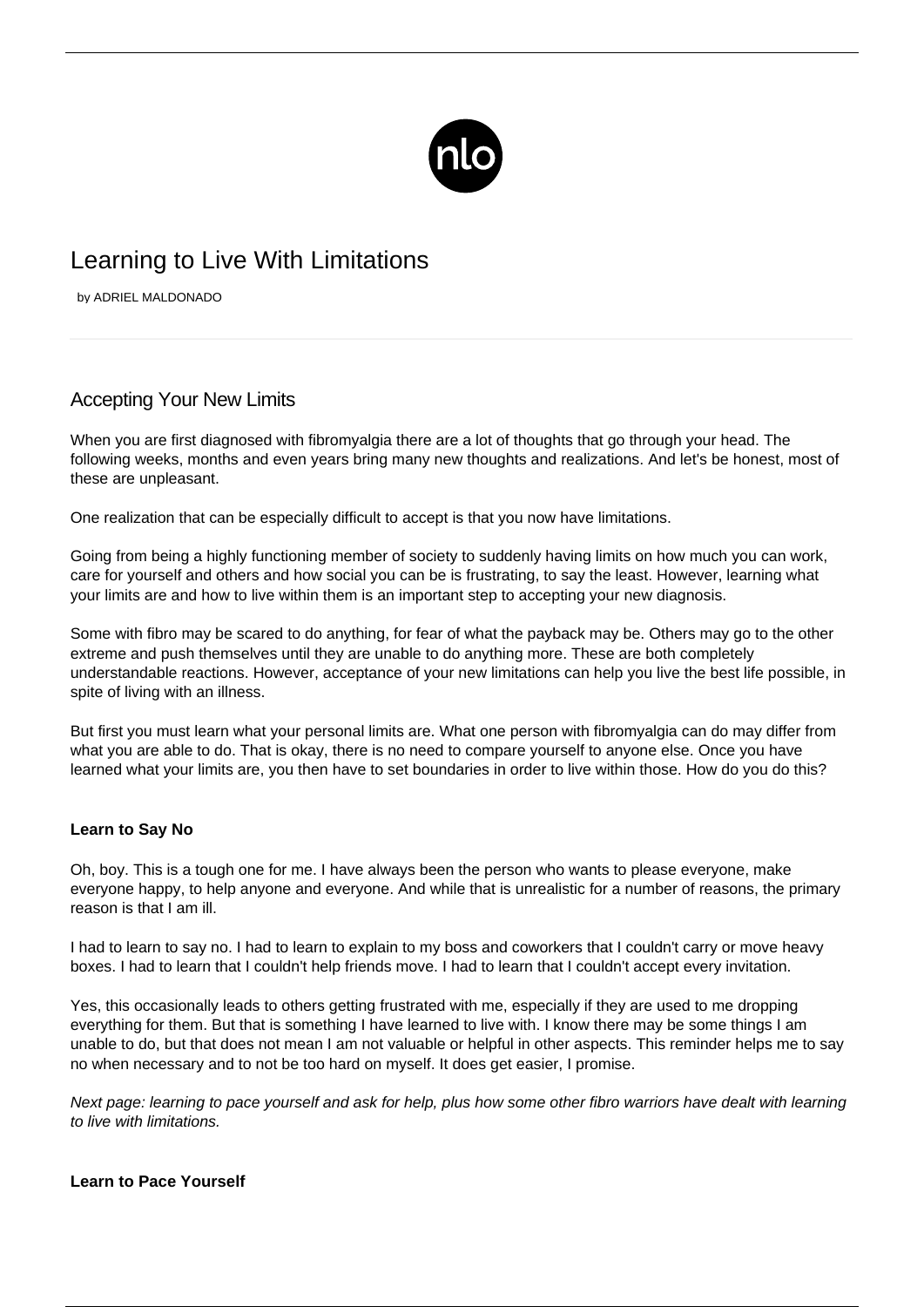

# Learning to Live With Limitations

by ADRIEL MALDONADO

## Accepting Your New Limits

When you are first diagnosed with fibromyalgia there are a lot of thoughts that go through your head. The following weeks, months and even years bring many new thoughts and realizations. And let's be honest, most of these are unpleasant.

One realization that can be especially difficult to accept is that you now have limitations.

Going from being a highly functioning member of society to suddenly having limits on how much you can work, care for yourself and others and how social you can be is frustrating, to say the least. However, learning what your limits are and how to live within them is an important step to accepting your new diagnosis.

Some with fibro may be scared to do anything, for fear of what the payback may be. Others may go to the other extreme and [push themselves](/pushing-yourself-with-fibromyalgia/) until they are unable to do anything more. These are both completely understandable reactions. However, acceptance of your new limitations can help you live the best life possible, in spite of living with an illness.

But first you must learn what your personal limits are. What one person with fibromyalgia can do may differ from what you are able to do. That is okay, there is no need to compare yourself to anyone else. Once you have learned what your limits are, you then have to set boundaries in order to live within those. How do you do this?

### **Learn to Say No**

Oh, boy. This is a tough one for me. I have always been the person who wants to please everyone, make everyone happy, to help anyone and everyone. And while that is unrealistic for a number of reasons, the primary reason is that I am ill.

I had to learn to say no. I had to learn to explain to my boss and coworkers that I couldn't carry or move heavy boxes. I had to learn that I couldn't help friends move. I had to learn that I couldn't accept every invitation.

Yes, this occasionally leads to others getting frustrated with me, especially if they are used to me dropping everything for them. But that is something I have learned to live with. I know there may be some things I am unable to do, but that does not mean I am not valuable or helpful in other aspects. This reminder helps me to say no when necessary and to not be too hard on myself. It does get easier, I promise.

Next page: learning to pace yourself and ask for help, plus how some other fibro warriors have dealt with learning to live with limitations.

#### **Learn to Pace Yourself**